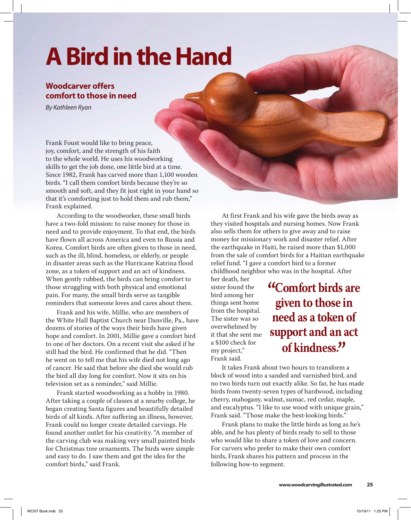# **A Bird in the Hand**

## **Woodcarver offers comfort to those in need**

*By Kathleen Ryan*

Frank Foust would like to bring peace, joy, comfort, and the strength of his faith to the whole world. He uses his woodworking skills to get the job done, one little bird at a time. Since 1982, Frank has carved more than 1,100 wooden birds. "I call them comfort birds because they're so smooth and soft, and they fit just right in your hand so that it's comforting just to hold them and rub them," Frank explained.

 According to the woodworker, these small birds have a two-fold mission: to raise money for those in need and to provide enjoyment. To that end, the birds have flown all across America and even to Russia and Korea. Comfort birds are often given to those in need, such as the ill, blind, homeless, or elderly, or people in disaster areas such as the Hurricane Katrina flood zone, as a token of support and an act of kindness. When gently rubbed, the birds can bring comfort to those struggling with both physical and emotional pain. For many, the small birds serve as tangible reminders that someone loves and cares about them.

 Frank and his wife, Millie, who are members of the White Hall Baptist Church near Danville, Pa., have dozens of stories of the ways their birds have given hope and comfort. In 2001, Millie gave a comfort bird to one of her doctors. On a recent visit she asked if he still had the bird. He confirmed that he did. "Then he went on to tell me that his wife died not long ago of cancer. He said that before she died she would rub the bird all day long for comfort. Now it sits on his television set as a reminder," said Millie.

 Frank started woodworking as a hobby in 1980. After taking a couple of classes at a nearby college, he began creating Santa figures and beautifully detailed birds of all kinds. After suffering an illness, however, Frank could no longer create detailed carvings. He found another outlet for his creativity. "A member of the carving club was making very small painted birds for Christmas tree ornaments. The birds were simple and easy to do. I saw them and got the idea for the comfort birds," said Frank.

 At first Frank and his wife gave the birds away as they visited hospitals and nursing homes. Now Frank also sells them for others to give away and to raise money for missionary work and disaster relief. After the earthquake in Haiti, he raised more than \$1,000 from the sale of comfort birds for a Haitian earthquake relief fund. "I gave a comfort bird to a former childhood neighbor who was in the hospital. After

her death, her sister found the bird among her things sent home from the hospital. The sister was so overwhelmed by it that she sent me a \$100 check for my project," Frank said.

# **"Comfort birds are given to those in need as a token of support and an act of kindness."**

 It takes Frank about two hours to transform a block of wood into a sanded and varnished bird, and no two birds turn out exactly alike. So far, he has made birds from twenty-seven types of hardwood, including cherry, mahogany, walnut, sumac, red cedar, maple, and eucalyptus. "I like to use wood with unique grain," Frank said. "Those make the best-looking birds."

 Frank plans to make the little birds as long as he's able, and he has plenty of birds ready to sell to those who would like to share a token of love and concern. For carvers who prefer to make their own comfort birds, Frank shares his pattern and process in the following how-to segment.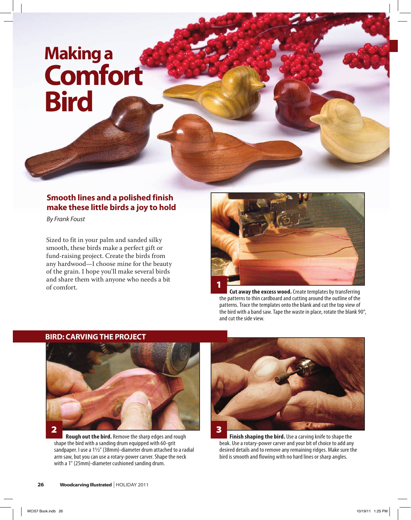# **making a Comfort Bird**

## **Smooth lines and a polished finish make these little birds a joy to hold**

*By Frank Foust*

Sized to fit in your palm and sanded silky smooth, these birds make a perfect gift or fund-raising project. Create the birds from any hardwood—I choose mine for the beauty of the grain. I hope you'll make several birds and share them with anyone who needs a bit



**Cut away the excess wood.** Create templates by transferring the patterns to thin cardboard and cutting around the outline of the patterns. Trace the templates onto the blank and cut the top view of the bird with a band saw. Tape the waste in place, rotate the blank 90°, and cut the side view.

### **BIrD: CArvInG THE PrOJECT**



 **Rough out the bird.** Remove the sharp edges and rough shape the bird with a sanding drum equipped with 60-grit sandpaper. I use a 11/2" (38mm)-diameter drum attached to a radial arm saw, but you can use a rotary-power carver. Shape the neck with a 1" (25mm)-diameter cushioned sanding drum.



**Finish shaping the bird.** Use a carving knife to shape the beak. Use a rotary-power carver and your bit of choice to add any desired details and to remove any remaining ridges. Make sure the bird is smooth and flowing with no hard lines or sharp angles.